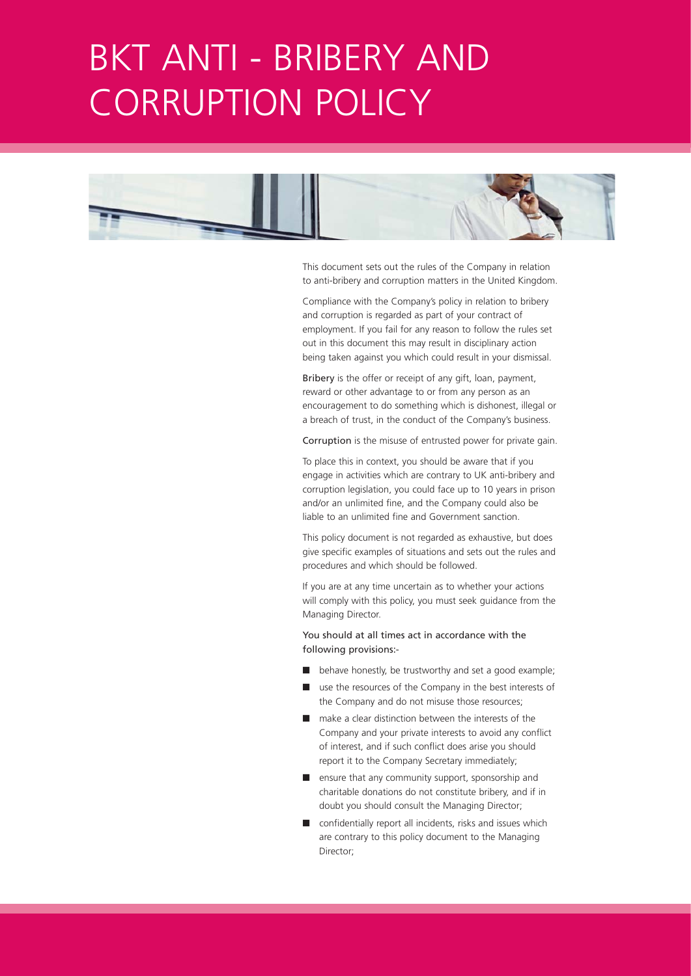## BKT ANTI - BRIBERY AND CORRUPTION POLICY



This document sets out the rules of the Company in relation to anti-bribery and corruption matters in the United Kingdom.

Compliance with the Company's policy in relation to bribery and corruption is regarded as part of your contract of employment. If you fail for any reason to follow the rules set out in this document this may result in disciplinary action being taken against you which could result in your dismissal.

Bribery is the offer or receipt of any gift, loan, payment, reward or other advantage to or from any person as an encouragement to do something which is dishonest, illegal or a breach of trust, in the conduct of the Company's business.

Corruption is the misuse of entrusted power for private gain.

To place this in context, you should be aware that if you engage in activities which are contrary to UK anti-bribery and corruption legislation, you could face up to 10 years in prison and/or an unlimited fine, and the Company could also be liable to an unlimited fine and Government sanction.

This policy document is not regarded as exhaustive, but does give specific examples of situations and sets out the rules and procedures and which should be followed.

If you are at any time uncertain as to whether your actions will comply with this policy, you must seek guidance from the Managing Director.

You should at all times act in accordance with the following provisions:-

- behave honestly, be trustworthy and set a good example;
- use the resources of the Company in the best interests of the Company and do not misuse those resources;
- make a clear distinction between the interests of the Company and your private interests to avoid any conflict of interest, and if such conflict does arise you should report it to the Company Secretary immediately;
- ensure that any community support, sponsorship and charitable donations do not constitute bribery, and if in doubt you should consult the Managing Director;
- confidentially report all incidents, risks and issues which are contrary to this policy document to the Managing Director;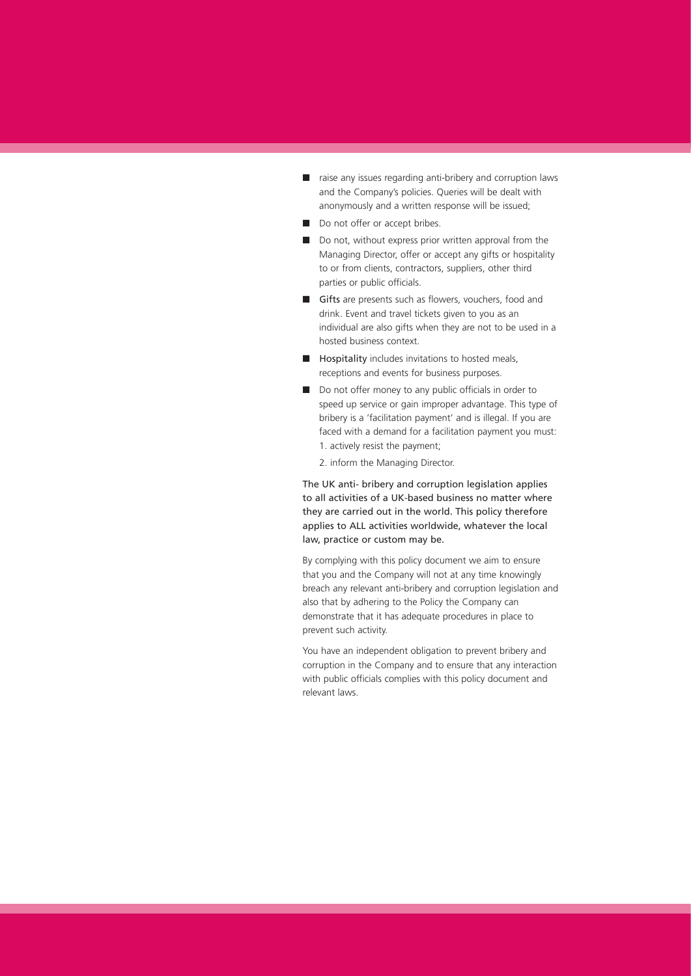- raise any issues regarding anti-bribery and corruption laws and the Company's policies. Queries will be dealt with anonymously and a written response will be issued;
- Do not offer or accept bribes.
- Do not, without express prior written approval from the Managing Director, offer or accept any gifts or hospitality to or from clients, contractors, suppliers, other third parties or public officials.
- Gifts are presents such as flowers, vouchers, food and drink. Event and travel tickets given to you as an individual are also gifts when they are not to be used in a hosted business context.
- Hospitality includes invitations to hosted meals, receptions and events for business purposes.
- Do not offer money to any public officials in order to speed up service or gain improper advantage. This type of bribery is a 'facilitation payment' and is illegal. If you are faced with a demand for a facilitation payment you must: 1. actively resist the payment;
	- 2. inform the Managing Director.

The UK anti- bribery and corruption legislation applies to all activities of a UK-based business no matter where they are carried out in the world. This policy therefore applies to ALL activities worldwide, whatever the local law, practice or custom may be.

By complying with this policy document we aim to ensure that you and the Company will not at any time knowingly breach any relevant anti-bribery and corruption legislation and also that by adhering to the Policy the Company can demonstrate that it has adequate procedures in place to prevent such activity.

You have an independent obligation to prevent bribery and corruption in the Company and to ensure that any interaction with public officials complies with this policy document and relevant laws.